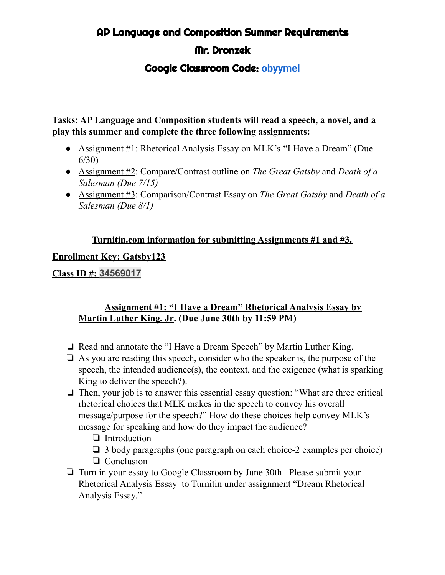# AP Language and Composition Summer Requirements

# Mr. Dronzek

## Google Classroom Code: **obyymel**

**Tasks: AP Language and Composition students will read a speech, a novel, and a play this summer and complete the three following assignments:**

- Assignment #1: Rhetorical Analysis Essay on MLK's "I Have a Dream" (Due 6/30)
- Assignment #2: Compare/Contrast outline on *The Great Gatsby* and *Death of a Salesman (Due 7/15)*
- Assignment #3: Comparison/Contrast Essay on *The Great Gatsby* and *Death of a Salesman (Due 8/1)*

# **Turnitin.com information for submitting Assignments #1 and #3.**

#### **Enrollment Key: Gatsby123**

**Class ID #: 34569017**

## **Assignment #1: "I Have a Dream" Rhetorical Analysis Essay by Martin Luther King, Jr. (Due June 30th by 11:59 PM)**

- ❏ Read and annotate the "I Have a Dream Speech" by Martin Luther King.
- ❏ As you are reading this speech, consider who the speaker is, the purpose of the speech, the intended audience(s), the context, and the exigence (what is sparking King to deliver the speech?).
- ❏ Then, your job is to answer this essential essay question: "What are three critical rhetorical choices that MLK makes in the speech to convey his overall message/purpose for the speech?" How do these choices help convey MLK's message for speaking and how do they impact the audience?
	- ❏ Introduction
	- ❏ 3 body paragraphs (one paragraph on each choice-2 examples per choice)
	- ❏ Conclusion
- ❏ Turn in your essay to Google Classroom by June 30th. Please submit your Rhetorical Analysis Essay to Turnitin under assignment "Dream Rhetorical Analysis Essay."